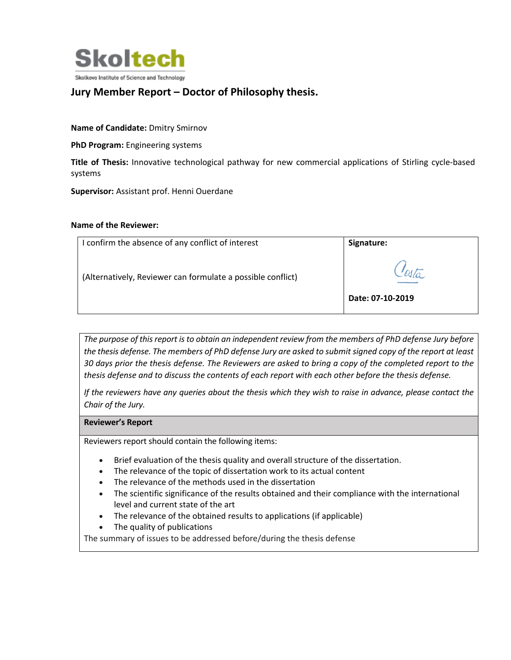

## **Jury Member Report – Doctor of Philosophy thesis.**

**Name of Candidate:** Dmitry Smirnov

**PhD Program:** Engineering systems

**Title of Thesis:** Innovative technological pathway for new commercial applications of Stirling cycle-based systems

**Supervisor:** Assistant prof. Henni Ouerdane

## **Name of the Reviewer:**

| I confirm the absence of any conflict of interest           | Signature:       |
|-------------------------------------------------------------|------------------|
| (Alternatively, Reviewer can formulate a possible conflict) | Date: 07-10-2019 |

*The purpose of this report is to obtain an independent review from the members of PhD defense Jury before the thesis defense. The members of PhD defense Jury are asked to submit signed copy of the report at least 30 days prior the thesis defense. The Reviewers are asked to bring a copy of the completed report to the thesis defense and to discuss the contents of each report with each other before the thesis defense.* 

*If the reviewers have any queries about the thesis which they wish to raise in advance, please contact the Chair of the Jury.*

## **Reviewer's Report**

Reviewers report should contain the following items:

- Brief evaluation of the thesis quality and overall structure of the dissertation.
- The relevance of the topic of dissertation work to its actual content
- The relevance of the methods used in the dissertation
- The scientific significance of the results obtained and their compliance with the international level and current state of the art
- The relevance of the obtained results to applications (if applicable)
- The quality of publications

The summary of issues to be addressed before/during the thesis defense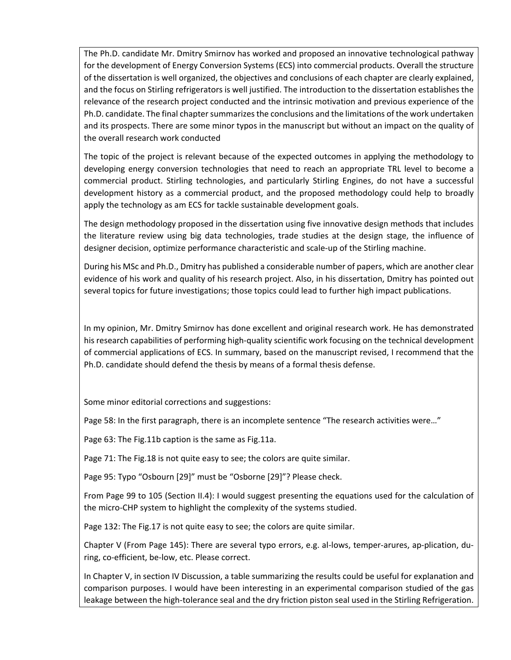The Ph.D. candidate Mr. Dmitry Smirnov has worked and proposed an innovative technological pathway for the development of Energy Conversion Systems (ECS) into commercial products. Overall the structure of the dissertation is well organized, the objectives and conclusions of each chapter are clearly explained, and the focus on Stirling refrigerators is well justified. The introduction to the dissertation establishes the relevance of the research project conducted and the intrinsic motivation and previous experience of the Ph.D. candidate. The final chapter summarizes the conclusions and the limitations of the work undertaken and its prospects. There are some minor typos in the manuscript but without an impact on the quality of the overall research work conducted

The topic of the project is relevant because of the expected outcomes in applying the methodology to developing energy conversion technologies that need to reach an appropriate TRL level to become a commercial product. Stirling technologies, and particularly Stirling Engines, do not have a successful development history as a commercial product, and the proposed methodology could help to broadly apply the technology as am ECS for tackle sustainable development goals.

The design methodology proposed in the dissertation using five innovative design methods that includes the literature review using big data technologies, trade studies at the design stage, the influence of designer decision, optimize performance characteristic and scale-up of the Stirling machine.

During his MSc and Ph.D., Dmitry has published a considerable number of papers, which are another clear evidence of his work and quality of his research project. Also, in his dissertation, Dmitry has pointed out several topics for future investigations; those topics could lead to further high impact publications.

In my opinion, Mr. Dmitry Smirnov has done excellent and original research work. He has demonstrated his research capabilities of performing high-quality scientific work focusing on the technical development of commercial applications of ECS. In summary, based on the manuscript revised, I recommend that the Ph.D. candidate should defend the thesis by means of a formal thesis defense.

Some minor editorial corrections and suggestions:

Page 58: In the first paragraph, there is an incomplete sentence "The research activities were…"

Page 63: The Fig.11b caption is the same as Fig.11a.

Page 71: The Fig.18 is not quite easy to see; the colors are quite similar.

Page 95: Typo "Osbourn [29]" must be "Osborne [29]"? Please check.

From Page 99 to 105 (Section II.4): I would suggest presenting the equations used for the calculation of the micro-CHP system to highlight the complexity of the systems studied.

Page 132: The Fig.17 is not quite easy to see; the colors are quite similar.

Chapter V (From Page 145): There are several typo errors, e.g. al-lows, temper-arures, ap-plication, during, co-efficient, be-low, etc. Please correct.

In Chapter V, in section IV Discussion, a table summarizing the results could be useful for explanation and comparison purposes. I would have been interesting in an experimental comparison studied of the gas leakage between the high-tolerance seal and the dry friction piston seal used in the Stirling Refrigeration.